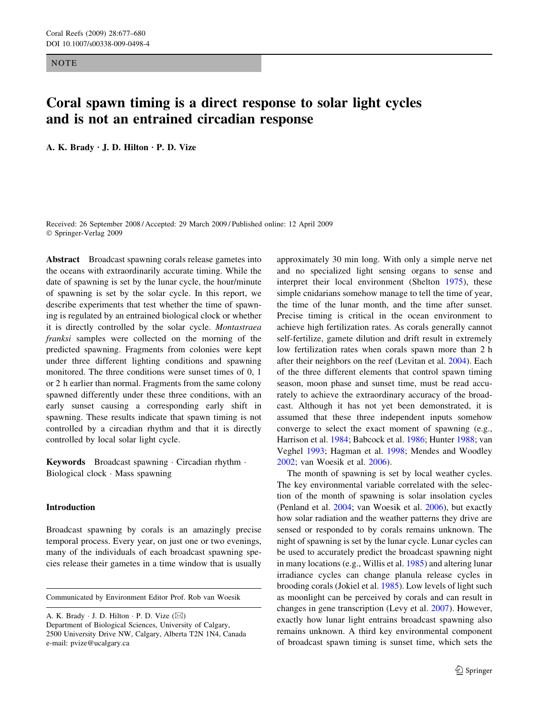**NOTE** 

# Coral spawn timing is a direct response to solar light cycles and is not an entrained circadian response

A. K. Brady  $\cdot$  J. D. Hilton  $\cdot$  P. D. Vize

Received: 26 September 2008 / Accepted: 29 March 2009 / Published online: 12 April 2009 Springer-Verlag 2009

Abstract Broadcast spawning corals release gametes into the oceans with extraordinarily accurate timing. While the date of spawning is set by the lunar cycle, the hour/minute of spawning is set by the solar cycle. In this report, we describe experiments that test whether the time of spawning is regulated by an entrained biological clock or whether it is directly controlled by the solar cycle. Montastraea franksi samples were collected on the morning of the predicted spawning. Fragments from colonies were kept under three different lighting conditions and spawning monitored. The three conditions were sunset times of 0, 1 or 2 h earlier than normal. Fragments from the same colony spawned differently under these three conditions, with an early sunset causing a corresponding early shift in spawning. These results indicate that spawn timing is not controlled by a circadian rhythm and that it is directly controlled by local solar light cycle.

Keywords Broadcast spawning · Circadian rhythm · Biological clock · Mass spawning

# Introduction

Broadcast spawning by corals is an amazingly precise temporal process. Every year, on just one or two evenings, many of the individuals of each broadcast spawning species release their gametes in a time window that is usually

Communicated by Environment Editor Prof. Rob van Woesik

A. K. Brady  $\cdot$  J. D. Hilton  $\cdot$  P. D. Vize ( $\boxtimes$ ) Department of Biological Sciences, University of Calgary, 2500 University Drive NW, Calgary, Alberta T2N 1N4, Canada e-mail: pvize@ucalgary.ca

approximately 30 min long. With only a simple nerve net and no specialized light sensing organs to sense and interpret their local environment (Shelton [1975\)](#page-3-0), these simple cnidarians somehow manage to tell the time of year, the time of the lunar month, and the time after sunset. Precise timing is critical in the ocean environment to achieve high fertilization rates. As corals generally cannot self-fertilize, gamete dilution and drift result in extremely low fertilization rates when corals spawn more than 2 h after their neighbors on the reef (Levitan et al. [2004\)](#page-3-0). Each of the three different elements that control spawn timing season, moon phase and sunset time, must be read accurately to achieve the extraordinary accuracy of the broadcast. Although it has not yet been demonstrated, it is assumed that these three independent inputs somehow converge to select the exact moment of spawning (e.g., Harrison et al. [1984](#page-3-0); Babcock et al. [1986](#page-3-0); Hunter [1988;](#page-3-0) van Veghel [1993;](#page-3-0) Hagman et al. [1998](#page-3-0); Mendes and Woodley [2002](#page-3-0); van Woesik et al. [2006\)](#page-3-0).

The month of spawning is set by local weather cycles. The key environmental variable correlated with the selection of the month of spawning is solar insolation cycles (Penland et al. [2004;](#page-3-0) van Woesik et al. [2006\)](#page-3-0), but exactly how solar radiation and the weather patterns they drive are sensed or responded to by corals remains unknown. The night of spawning is set by the lunar cycle. Lunar cycles can be used to accurately predict the broadcast spawning night in many locations (e.g., Willis et al. [1985\)](#page-3-0) and altering lunar irradiance cycles can change planula release cycles in brooding corals (Jokiel et al. [1985](#page-3-0)). Low levels of light such as moonlight can be perceived by corals and can result in changes in gene transcription (Levy et al. [2007\)](#page-3-0). However, exactly how lunar light entrains broadcast spawning also remains unknown. A third key environmental component of broadcast spawn timing is sunset time, which sets the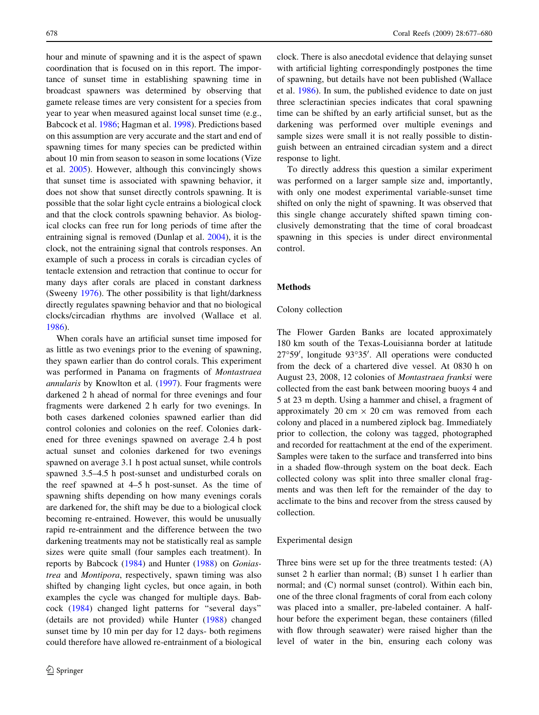hour and minute of spawning and it is the aspect of spawn coordination that is focused on in this report. The importance of sunset time in establishing spawning time in broadcast spawners was determined by observing that gamete release times are very consistent for a species from year to year when measured against local sunset time (e.g., Babcock et al. [1986](#page-3-0); Hagman et al. [1998](#page-3-0)). Predictions based on this assumption are very accurate and the start and end of spawning times for many species can be predicted within about 10 min from season to season in some locations (Vize et al. [2005](#page-3-0)). However, although this convincingly shows that sunset time is associated with spawning behavior, it does not show that sunset directly controls spawning. It is possible that the solar light cycle entrains a biological clock and that the clock controls spawning behavior. As biological clocks can free run for long periods of time after the entraining signal is removed (Dunlap et al. [2004](#page-3-0)), it is the clock, not the entraining signal that controls responses. An example of such a process in corals is circadian cycles of tentacle extension and retraction that continue to occur for many days after corals are placed in constant darkness (Sweeny [1976](#page-3-0)). The other possibility is that light/darkness directly regulates spawning behavior and that no biological clocks/circadian rhythms are involved (Wallace et al. [1986\)](#page-3-0).

When corals have an artificial sunset time imposed for as little as two evenings prior to the evening of spawning, they spawn earlier than do control corals. This experiment was performed in Panama on fragments of Montastraea annularis by Knowlton et al. ([1997](#page-3-0)). Four fragments were darkened 2 h ahead of normal for three evenings and four fragments were darkened 2 h early for two evenings. In both cases darkened colonies spawned earlier than did control colonies and colonies on the reef. Colonies darkened for three evenings spawned on average 2.4 h post actual sunset and colonies darkened for two evenings spawned on average 3.1 h post actual sunset, while controls spawned 3.5–4.5 h post-sunset and undisturbed corals on the reef spawned at 4–5 h post-sunset. As the time of spawning shifts depending on how many evenings corals are darkened for, the shift may be due to a biological clock becoming re-entrained. However, this would be unusually rapid re-entrainment and the difference between the two darkening treatments may not be statistically real as sample sizes were quite small (four samples each treatment). In reports by Babcock ([1984](#page-3-0)) and Hunter ([1988\)](#page-3-0) on Goniastrea and Montipora, respectively, spawn timing was also shifted by changing light cycles, but once again, in both examples the cycle was changed for multiple days. Babcock ([1984\)](#page-3-0) changed light patterns for ''several days'' (details are not provided) while Hunter ([1988](#page-3-0)) changed sunset time by 10 min per day for 12 days- both regimens could therefore have allowed re-entrainment of a biological clock. There is also anecdotal evidence that delaying sunset with artificial lighting correspondingly postpones the time of spawning, but details have not been published (Wallace et al. [1986](#page-3-0)). In sum, the published evidence to date on just three scleractinian species indicates that coral spawning time can be shifted by an early artificial sunset, but as the darkening was performed over multiple evenings and sample sizes were small it is not really possible to distinguish between an entrained circadian system and a direct response to light.

To directly address this question a similar experiment was performed on a larger sample size and, importantly, with only one modest experimental variable-sunset time shifted on only the night of spawning. It was observed that this single change accurately shifted spawn timing conclusively demonstrating that the time of coral broadcast spawning in this species is under direct environmental control.

#### Methods

# Colony collection

The Flower Garden Banks are located approximately 180 km south of the Texas-Louisianna border at latitude 27°59', longitude 93°35'. All operations were conducted from the deck of a chartered dive vessel. At 0830 h on August 23, 2008, 12 colonies of Montastraea franksi were collected from the east bank between mooring buoys 4 and 5 at 23 m depth. Using a hammer and chisel, a fragment of approximately 20 cm  $\times$  20 cm was removed from each colony and placed in a numbered ziplock bag. Immediately prior to collection, the colony was tagged, photographed and recorded for reattachment at the end of the experiment. Samples were taken to the surface and transferred into bins in a shaded flow-through system on the boat deck. Each collected colony was split into three smaller clonal fragments and was then left for the remainder of the day to acclimate to the bins and recover from the stress caused by collection.

### Experimental design

Three bins were set up for the three treatments tested: (A) sunset 2 h earlier than normal; (B) sunset 1 h earlier than normal; and (C) normal sunset (control). Within each bin, one of the three clonal fragments of coral from each colony was placed into a smaller, pre-labeled container. A halfhour before the experiment began, these containers (filled with flow through seawater) were raised higher than the level of water in the bin, ensuring each colony was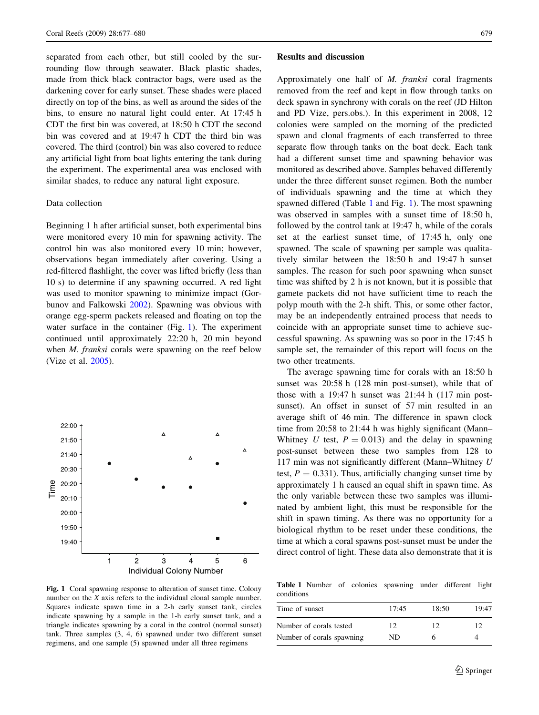separated from each other, but still cooled by the surrounding flow through seawater. Black plastic shades, made from thick black contractor bags, were used as the darkening cover for early sunset. These shades were placed directly on top of the bins, as well as around the sides of the bins, to ensure no natural light could enter. At 17:45 h CDT the first bin was covered, at 18:50 h CDT the second bin was covered and at 19:47 h CDT the third bin was covered. The third (control) bin was also covered to reduce any artificial light from boat lights entering the tank during the experiment. The experimental area was enclosed with similar shades, to reduce any natural light exposure.

# Data collection

Beginning 1 h after artificial sunset, both experimental bins were monitored every 10 min for spawning activity. The control bin was also monitored every 10 min; however, observations began immediately after covering. Using a red-filtered flashlight, the cover was lifted briefly (less than 10 s) to determine if any spawning occurred. A red light was used to monitor spawning to minimize impact (Gorbunov and Falkowski [2002](#page-3-0)). Spawning was obvious with orange egg-sperm packets released and floating on top the water surface in the container (Fig. 1). The experiment continued until approximately 22:20 h, 20 min beyond when *M. franksi* corals were spawning on the reef below (Vize et al. [2005](#page-3-0)).



Fig. 1 Coral spawning response to alteration of sunset time. Colony number on the X axis refers to the individual clonal sample number. Squares indicate spawn time in a 2-h early sunset tank, circles indicate spawning by a sample in the 1-h early sunset tank, and a triangle indicates spawning by a coral in the control (normal sunset) tank. Three samples (3, 4, 6) spawned under two different sunset regimens, and one sample (5) spawned under all three regimens

#### Results and discussion

Approximately one half of M. franksi coral fragments removed from the reef and kept in flow through tanks on deck spawn in synchrony with corals on the reef (JD Hilton and PD Vize, pers.obs.). In this experiment in 2008, 12 colonies were sampled on the morning of the predicted spawn and clonal fragments of each transferred to three separate flow through tanks on the boat deck. Each tank had a different sunset time and spawning behavior was monitored as described above. Samples behaved differently under the three different sunset regimen. Both the number of individuals spawning and the time at which they spawned differed (Table 1 and Fig. 1). The most spawning was observed in samples with a sunset time of 18:50 h, followed by the control tank at 19:47 h, while of the corals set at the earliest sunset time, of 17:45 h, only one spawned. The scale of spawning per sample was qualitatively similar between the 18:50 h and 19:47 h sunset samples. The reason for such poor spawning when sunset time was shifted by 2 h is not known, but it is possible that gamete packets did not have sufficient time to reach the polyp mouth with the 2-h shift. This, or some other factor, may be an independently entrained process that needs to coincide with an appropriate sunset time to achieve successful spawning. As spawning was so poor in the 17:45 h sample set, the remainder of this report will focus on the two other treatments.

The average spawning time for corals with an 18:50 h sunset was 20:58 h (128 min post-sunset), while that of those with a 19:47 h sunset was 21:44 h (117 min postsunset). An offset in sunset of 57 min resulted in an average shift of 46 min. The difference in spawn clock time from 20:58 to 21:44 h was highly significant (Mann– Whitney U test,  $P = 0.013$  and the delay in spawning post-sunset between these two samples from 128 to 117 min was not significantly different (Mann–Whitney U test,  $P = 0.331$ . Thus, artificially changing sunset time by approximately 1 h caused an equal shift in spawn time. As the only variable between these two samples was illuminated by ambient light, this must be responsible for the shift in spawn timing. As there was no opportunity for a biological rhythm to be reset under these conditions, the time at which a coral spawns post-sunset must be under the direct control of light. These data also demonstrate that it is

Table 1 Number of colonies spawning under different light conditions

| 17:45 | 18:50 | 19:47 |
|-------|-------|-------|
| 12    | 12    | 12    |
| ND.   |       |       |
|       |       |       |